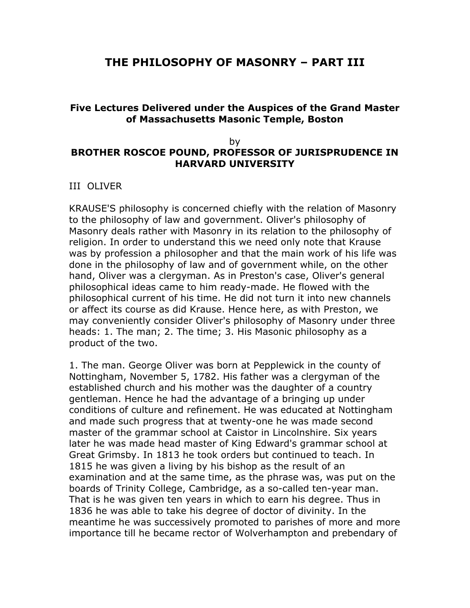# **THE PHILOSOPHY OF MASONRY – PART III**

## **Five Lectures Delivered under the Auspices of the Grand Master of Massachusetts Masonic Temple, Boston**

### by **BROTHER ROSCOE POUND, PROFESSOR OF JURISPRUDENCE IN HARVARD UNIVERSITY**

### III OLIVER

KRAUSE'S philosophy is concerned chiefly with the relation of Masonry to the philosophy of law and government. Oliver's philosophy of Masonry deals rather with Masonry in its relation to the philosophy of religion. In order to understand this we need only note that Krause was by profession a philosopher and that the main work of his life was done in the philosophy of law and of government while, on the other hand, Oliver was a clergyman. As in Preston's case, Oliver's general philosophical ideas came to him ready-made. He flowed with the philosophical current of his time. He did not turn it into new channels or affect its course as did Krause. Hence here, as with Preston, we may conveniently consider Oliver's philosophy of Masonry under three heads: 1. The man; 2. The time; 3. His Masonic philosophy as a product of the two.

1. The man. George Oliver was born at Pepplewick in the county of Nottingham, November 5, 1782. His father was a clergyman of the established church and his mother was the daughter of a country gentleman. Hence he had the advantage of a bringing up under conditions of culture and refinement. He was educated at Nottingham and made such progress that at twenty-one he was made second master of the grammar school at Caistor in Lincolnshire. Six years later he was made head master of King Edward's grammar school at Great Grimsby. In 1813 he took orders but continued to teach. In 1815 he was given a living by his bishop as the result of an examination and at the same time, as the phrase was, was put on the boards of Trinity College, Cambridge, as a so-called ten-year man. That is he was given ten years in which to earn his degree. Thus in 1836 he was able to take his degree of doctor of divinity. In the meantime he was successively promoted to parishes of more and more importance till he became rector of Wolverhampton and prebendary of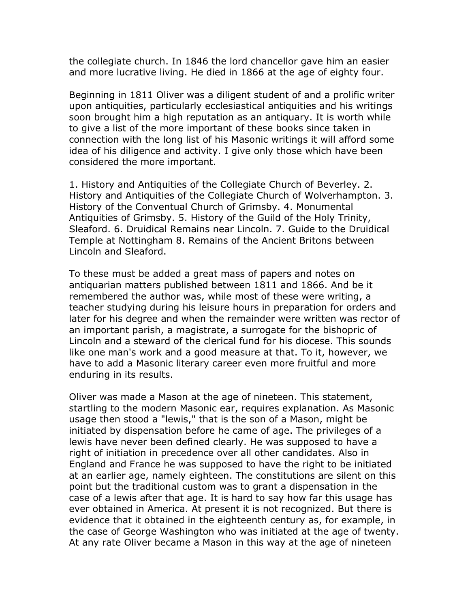the collegiate church. In 1846 the lord chancellor gave him an easier and more lucrative living. He died in 1866 at the age of eighty four.

Beginning in 1811 Oliver was a diligent student of and a prolific writer upon antiquities, particularly ecclesiastical antiquities and his writings soon brought him a high reputation as an antiquary. It is worth while to give a list of the more important of these books since taken in connection with the long list of his Masonic writings it will afford some idea of his diligence and activity. I give only those which have been considered the more important.

1. History and Antiquities of the Collegiate Church of Beverley. 2. History and Antiquities of the Collegiate Church of Wolverhampton. 3. History of the Conventual Church of Grimsby. 4. Monumental Antiquities of Grimsby. 5. History of the Guild of the Holy Trinity, Sleaford. 6. Druidical Remains near Lincoln. 7. Guide to the Druidical Temple at Nottingham 8. Remains of the Ancient Britons between Lincoln and Sleaford.

To these must be added a great mass of papers and notes on antiquarian matters published between 1811 and 1866. And be it remembered the author was, while most of these were writing, a teacher studying during his leisure hours in preparation for orders and later for his degree and when the remainder were written was rector of an important parish, a magistrate, a surrogate for the bishopric of Lincoln and a steward of the clerical fund for his diocese. This sounds like one man's work and a good measure at that. To it, however, we have to add a Masonic literary career even more fruitful and more enduring in its results.

Oliver was made a Mason at the age of nineteen. This statement, startling to the modern Masonic ear, requires explanation. As Masonic usage then stood a "lewis," that is the son of a Mason, might be initiated by dispensation before he came of age. The privileges of a lewis have never been defined clearly. He was supposed to have a right of initiation in precedence over all other candidates. Also in England and France he was supposed to have the right to be initiated at an earlier age, namely eighteen. The constitutions are silent on this point but the traditional custom was to grant a dispensation in the case of a lewis after that age. It is hard to say how far this usage has ever obtained in America. At present it is not recognized. But there is evidence that it obtained in the eighteenth century as, for example, in the case of George Washington who was initiated at the age of twenty. At any rate Oliver became a Mason in this way at the age of nineteen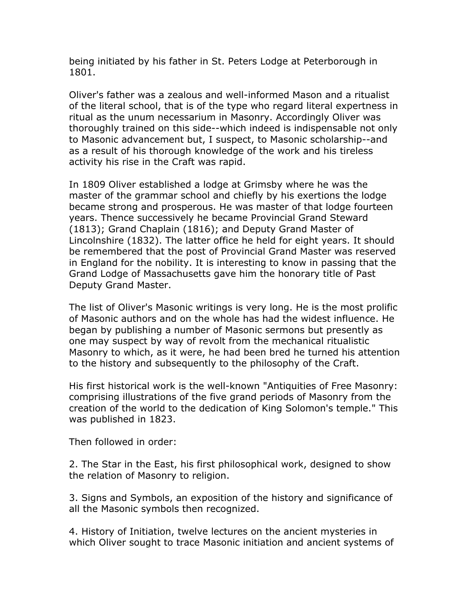being initiated by his father in St. Peters Lodge at Peterborough in 1801.

Oliver's father was a zealous and well-informed Mason and a ritualist of the literal school, that is of the type who regard literal expertness in ritual as the unum necessarium in Masonry. Accordingly Oliver was thoroughly trained on this side--which indeed is indispensable not only to Masonic advancement but, I suspect, to Masonic scholarship--and as a result of his thorough knowledge of the work and his tireless activity his rise in the Craft was rapid.

In 1809 Oliver established a lodge at Grimsby where he was the master of the grammar school and chiefly by his exertions the lodge became strong and prosperous. He was master of that lodge fourteen years. Thence successively he became Provincial Grand Steward (1813); Grand Chaplain (1816); and Deputy Grand Master of Lincolnshire (1832). The latter office he held for eight years. It should be remembered that the post of Provincial Grand Master was reserved in England for the nobility. It is interesting to know in passing that the Grand Lodge of Massachusetts gave him the honorary title of Past Deputy Grand Master.

The list of Oliver's Masonic writings is very long. He is the most prolific of Masonic authors and on the whole has had the widest influence. He began by publishing a number of Masonic sermons but presently as one may suspect by way of revolt from the mechanical ritualistic Masonry to which, as it were, he had been bred he turned his attention to the history and subsequently to the philosophy of the Craft.

His first historical work is the well-known "Antiquities of Free Masonry: comprising illustrations of the five grand periods of Masonry from the creation of the world to the dedication of King Solomon's temple." This was published in 1823.

Then followed in order:

2. The Star in the East, his first philosophical work, designed to show the relation of Masonry to religion.

3. Signs and Symbols, an exposition of the history and significance of all the Masonic symbols then recognized.

4. History of Initiation, twelve lectures on the ancient mysteries in which Oliver sought to trace Masonic initiation and ancient systems of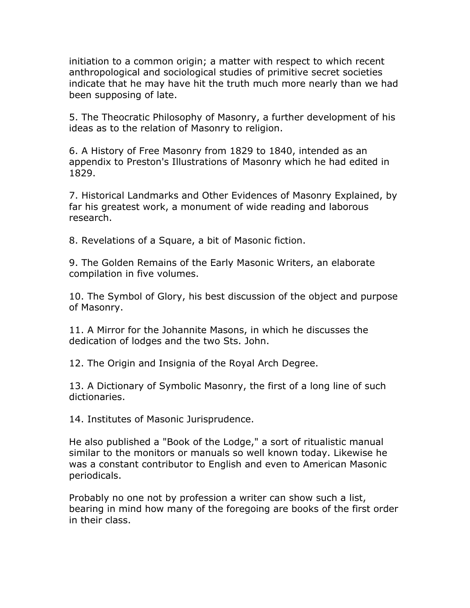initiation to a common origin; a matter with respect to which recent anthropological and sociological studies of primitive secret societies indicate that he may have hit the truth much more nearly than we had been supposing of late.

5. The Theocratic Philosophy of Masonry, a further development of his ideas as to the relation of Masonry to religion.

6. A History of Free Masonry from 1829 to 1840, intended as an appendix to Preston's Illustrations of Masonry which he had edited in 1829.

7. Historical Landmarks and Other Evidences of Masonry Explained, by far his greatest work, a monument of wide reading and laborous research.

8. Revelations of a Square, a bit of Masonic fiction.

9. The Golden Remains of the Early Masonic Writers, an elaborate compilation in five volumes.

10. The Symbol of Glory, his best discussion of the object and purpose of Masonry.

11. A Mirror for the Johannite Masons, in which he discusses the dedication of lodges and the two Sts. John.

12. The Origin and Insignia of the Royal Arch Degree.

13. A Dictionary of Symbolic Masonry, the first of a long line of such dictionaries.

14. Institutes of Masonic Jurisprudence.

He also published a "Book of the Lodge," a sort of ritualistic manual similar to the monitors or manuals so well known today. Likewise he was a constant contributor to English and even to American Masonic periodicals.

Probably no one not by profession a writer can show such a list, bearing in mind how many of the foregoing are books of the first order in their class.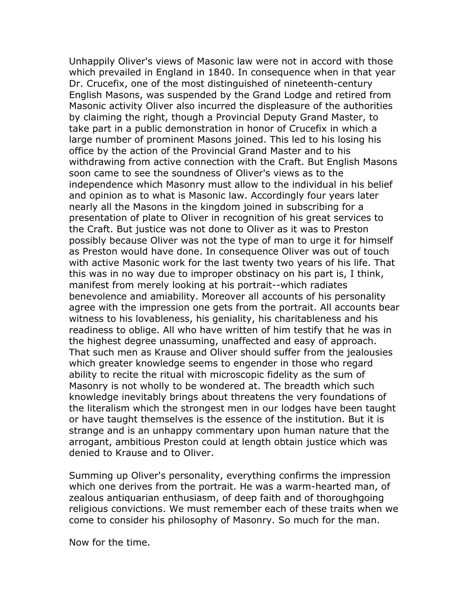Unhappily Oliver's views of Masonic law were not in accord with those which prevailed in England in 1840. In consequence when in that year Dr. Crucefix, one of the most distinguished of nineteenth-century English Masons, was suspended by the Grand Lodge and retired from Masonic activity Oliver also incurred the displeasure of the authorities by claiming the right, though a Provincial Deputy Grand Master, to take part in a public demonstration in honor of Crucefix in which a large number of prominent Masons joined. This led to his losing his office by the action of the Provincial Grand Master and to his withdrawing from active connection with the Craft. But English Masons soon came to see the soundness of Oliver's views as to the independence which Masonry must allow to the individual in his belief and opinion as to what is Masonic law. Accordingly four years later nearly all the Masons in the kingdom joined in subscribing for a presentation of plate to Oliver in recognition of his great services to the Craft. But justice was not done to Oliver as it was to Preston possibly because Oliver was not the type of man to urge it for himself as Preston would have done. In consequence Oliver was out of touch with active Masonic work for the last twenty two years of his life. That this was in no way due to improper obstinacy on his part is, I think, manifest from merely looking at his portrait--which radiates benevolence and amiability. Moreover all accounts of his personality agree with the impression one gets from the portrait. All accounts bear witness to his lovableness, his geniality, his charitableness and his readiness to oblige. All who have written of him testify that he was in the highest degree unassuming, unaffected and easy of approach. That such men as Krause and Oliver should suffer from the jealousies which greater knowledge seems to engender in those who regard ability to recite the ritual with microscopic fidelity as the sum of Masonry is not wholly to be wondered at. The breadth which such knowledge inevitably brings about threatens the very foundations of the literalism which the strongest men in our lodges have been taught or have taught themselves is the essence of the institution. But it is strange and is an unhappy commentary upon human nature that the arrogant, ambitious Preston could at length obtain justice which was denied to Krause and to Oliver.

Summing up Oliver's personality, everything confirms the impression which one derives from the portrait. He was a warm-hearted man, of zealous antiquarian enthusiasm, of deep faith and of thoroughgoing religious convictions. We must remember each of these traits when we come to consider his philosophy of Masonry. So much for the man.

Now for the time.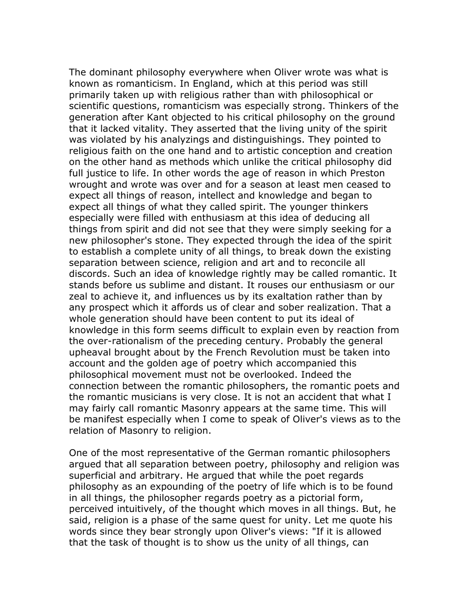The dominant philosophy everywhere when Oliver wrote was what is known as romanticism. In England, which at this period was still primarily taken up with religious rather than with philosophical or scientific questions, romanticism was especially strong. Thinkers of the generation after Kant objected to his critical philosophy on the ground that it lacked vitality. They asserted that the living unity of the spirit was violated by his analyzings and distinguishings. They pointed to religious faith on the one hand and to artistic conception and creation on the other hand as methods which unlike the critical philosophy did full justice to life. In other words the age of reason in which Preston wrought and wrote was over and for a season at least men ceased to expect all things of reason, intellect and knowledge and began to expect all things of what they called spirit. The younger thinkers especially were filled with enthusiasm at this idea of deducing all things from spirit and did not see that they were simply seeking for a new philosopher's stone. They expected through the idea of the spirit to establish a complete unity of all things, to break down the existing separation between science, religion and art and to reconcile all discords. Such an idea of knowledge rightly may be called romantic. It stands before us sublime and distant. It rouses our enthusiasm or our zeal to achieve it, and influences us by its exaltation rather than by any prospect which it affords us of clear and sober realization. That a whole generation should have been content to put its ideal of knowledge in this form seems difficult to explain even by reaction from the over-rationalism of the preceding century. Probably the general upheaval brought about by the French Revolution must be taken into account and the golden age of poetry which accompanied this philosophical movement must not be overlooked. Indeed the connection between the romantic philosophers, the romantic poets and the romantic musicians is very close. It is not an accident that what I may fairly call romantic Masonry appears at the same time. This will be manifest especially when I come to speak of Oliver's views as to the relation of Masonry to religion.

One of the most representative of the German romantic philosophers argued that all separation between poetry, philosophy and religion was superficial and arbitrary. He argued that while the poet regards philosophy as an expounding of the poetry of life which is to be found in all things, the philosopher regards poetry as a pictorial form, perceived intuitively, of the thought which moves in all things. But, he said, religion is a phase of the same quest for unity. Let me quote his words since they bear strongly upon Oliver's views: "If it is allowed that the task of thought is to show us the unity of all things, can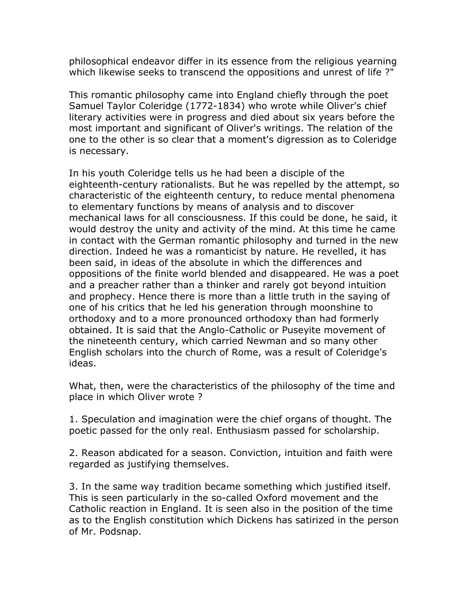philosophical endeavor differ in its essence from the religious yearning which likewise seeks to transcend the oppositions and unrest of life?"

This romantic philosophy came into England chiefly through the poet Samuel Taylor Coleridge (1772-1834) who wrote while Oliver's chief literary activities were in progress and died about six years before the most important and significant of Oliver's writings. The relation of the one to the other is so clear that a moment's digression as to Coleridge is necessary.

In his youth Coleridge tells us he had been a disciple of the eighteenth-century rationalists. But he was repelled by the attempt, so characteristic of the eighteenth century, to reduce mental phenomena to elementary functions by means of analysis and to discover mechanical laws for all consciousness. If this could be done, he said, it would destroy the unity and activity of the mind. At this time he came in contact with the German romantic philosophy and turned in the new direction. Indeed he was a romanticist by nature. He revelled, it has been said, in ideas of the absolute in which the differences and oppositions of the finite world blended and disappeared. He was a poet and a preacher rather than a thinker and rarely got beyond intuition and prophecy. Hence there is more than a little truth in the saying of one of his critics that he led his generation through moonshine to orthodoxy and to a more pronounced orthodoxy than had formerly obtained. It is said that the Anglo-Catholic or Puseyite movement of the nineteenth century, which carried Newman and so many other English scholars into the church of Rome, was a result of Coleridge's ideas.

What, then, were the characteristics of the philosophy of the time and place in which Oliver wrote ?

1. Speculation and imagination were the chief organs of thought. The poetic passed for the only real. Enthusiasm passed for scholarship.

2. Reason abdicated for a season. Conviction, intuition and faith were regarded as justifying themselves.

3. In the same way tradition became something which justified itself. This is seen particularly in the so-called Oxford movement and the Catholic reaction in England. It is seen also in the position of the time as to the English constitution which Dickens has satirized in the person of Mr. Podsnap.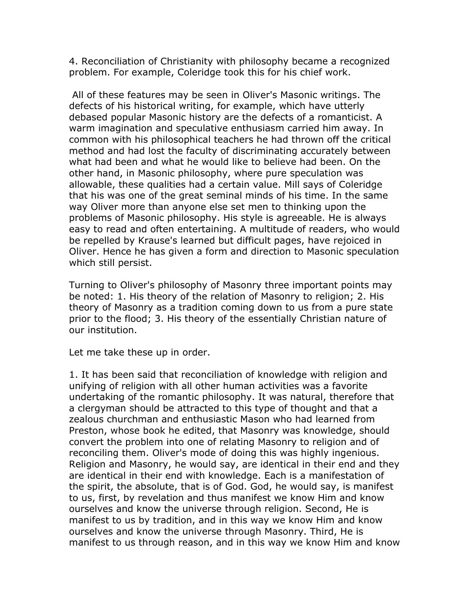4. Reconciliation of Christianity with philosophy became a recognized problem. For example, Coleridge took this for his chief work.

 All of these features may be seen in Oliver's Masonic writings. The defects of his historical writing, for example, which have utterly debased popular Masonic history are the defects of a romanticist. A warm imagination and speculative enthusiasm carried him away. In common with his philosophical teachers he had thrown off the critical method and had lost the faculty of discriminating accurately between what had been and what he would like to believe had been. On the other hand, in Masonic philosophy, where pure speculation was allowable, these qualities had a certain value. Mill says of Coleridge that his was one of the great seminal minds of his time. In the same way Oliver more than anyone else set men to thinking upon the problems of Masonic philosophy. His style is agreeable. He is always easy to read and often entertaining. A multitude of readers, who would be repelled by Krause's learned but difficult pages, have rejoiced in Oliver. Hence he has given a form and direction to Masonic speculation which still persist.

Turning to Oliver's philosophy of Masonry three important points may be noted: 1. His theory of the relation of Masonry to religion; 2. His theory of Masonry as a tradition coming down to us from a pure state prior to the flood; 3. His theory of the essentially Christian nature of our institution.

Let me take these up in order.

1. It has been said that reconciliation of knowledge with religion and unifying of religion with all other human activities was a favorite undertaking of the romantic philosophy. It was natural, therefore that a clergyman should be attracted to this type of thought and that a zealous churchman and enthusiastic Mason who had learned from Preston, whose book he edited, that Masonry was knowledge, should convert the problem into one of relating Masonry to religion and of reconciling them. Oliver's mode of doing this was highly ingenious. Religion and Masonry, he would say, are identical in their end and they are identical in their end with knowledge. Each is a manifestation of the spirit, the absolute, that is of God. God, he would say, is manifest to us, first, by revelation and thus manifest we know Him and know ourselves and know the universe through religion. Second, He is manifest to us by tradition, and in this way we know Him and know ourselves and know the universe through Masonry. Third, He is manifest to us through reason, and in this way we know Him and know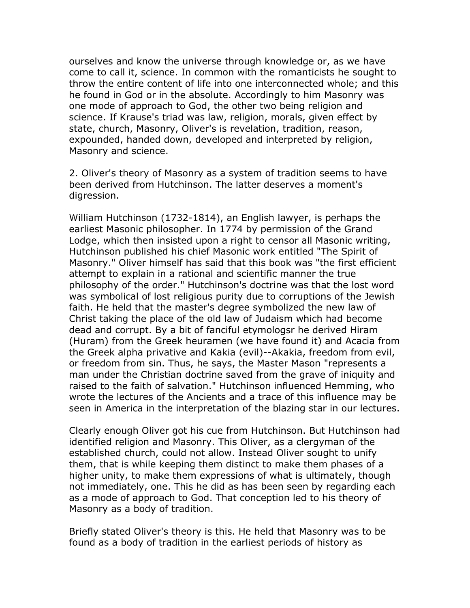ourselves and know the universe through knowledge or, as we have come to call it, science. In common with the romanticists he sought to throw the entire content of life into one interconnected whole; and this he found in God or in the absolute. Accordingly to him Masonry was one mode of approach to God, the other two being religion and science. If Krause's triad was law, religion, morals, given effect by state, church, Masonry, Oliver's is revelation, tradition, reason, expounded, handed down, developed and interpreted by religion, Masonry and science.

2. Oliver's theory of Masonry as a system of tradition seems to have been derived from Hutchinson. The latter deserves a moment's digression.

William Hutchinson (1732-1814), an English lawyer, is perhaps the earliest Masonic philosopher. In 1774 by permission of the Grand Lodge, which then insisted upon a right to censor all Masonic writing, Hutchinson published his chief Masonic work entitled "The Spirit of Masonry." Oliver himself has said that this book was "the first efficient attempt to explain in a rational and scientific manner the true philosophy of the order." Hutchinson's doctrine was that the lost word was symbolical of lost religious purity due to corruptions of the Jewish faith. He held that the master's degree symbolized the new law of Christ taking the place of the old law of Judaism which had become dead and corrupt. By a bit of fanciful etymologsr he derived Hiram (Huram) from the Greek heuramen (we have found it) and Acacia from the Greek alpha privative and Kakia (evil)--Akakia, freedom from evil, or freedom from sin. Thus, he says, the Master Mason "represents a man under the Christian doctrine saved from the grave of iniquity and raised to the faith of salvation." Hutchinson influenced Hemming, who wrote the lectures of the Ancients and a trace of this influence may be seen in America in the interpretation of the blazing star in our lectures.

Clearly enough Oliver got his cue from Hutchinson. But Hutchinson had identified religion and Masonry. This Oliver, as a clergyman of the established church, could not allow. Instead Oliver sought to unify them, that is while keeping them distinct to make them phases of a higher unity, to make them expressions of what is ultimately, though not immediately, one. This he did as has been seen by regarding each as a mode of approach to God. That conception led to his theory of Masonry as a body of tradition.

Briefly stated Oliver's theory is this. He held that Masonry was to be found as a body of tradition in the earliest periods of history as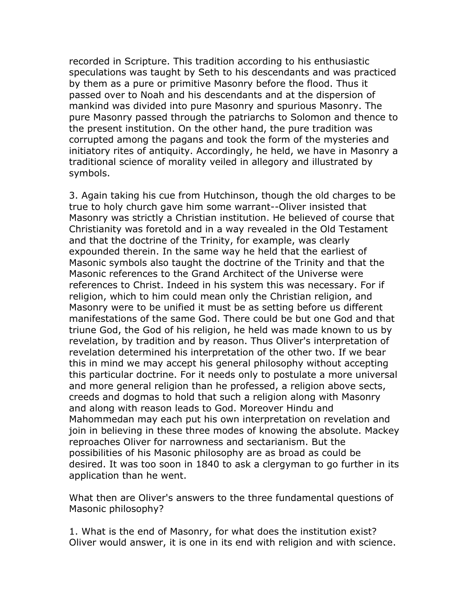recorded in Scripture. This tradition according to his enthusiastic speculations was taught by Seth to his descendants and was practiced by them as a pure or primitive Masonry before the flood. Thus it passed over to Noah and his descendants and at the dispersion of mankind was divided into pure Masonry and spurious Masonry. The pure Masonry passed through the patriarchs to Solomon and thence to the present institution. On the other hand, the pure tradition was corrupted among the pagans and took the form of the mysteries and initiatory rites of antiquity. Accordingly, he held, we have in Masonry a traditional science of morality veiled in allegory and illustrated by symbols.

3. Again taking his cue from Hutchinson, though the old charges to be true to holy church gave him some warrant--Oliver insisted that Masonry was strictly a Christian institution. He believed of course that Christianity was foretold and in a way revealed in the Old Testament and that the doctrine of the Trinity, for example, was clearly expounded therein. In the same way he held that the earliest of Masonic symbols also taught the doctrine of the Trinity and that the Masonic references to the Grand Architect of the Universe were references to Christ. Indeed in his system this was necessary. For if religion, which to him could mean only the Christian religion, and Masonry were to be unified it must be as setting before us different manifestations of the same God. There could be but one God and that triune God, the God of his religion, he held was made known to us by revelation, by tradition and by reason. Thus Oliver's interpretation of revelation determined his interpretation of the other two. If we bear this in mind we may accept his general philosophy without accepting this particular doctrine. For it needs only to postulate a more universal and more general religion than he professed, a religion above sects, creeds and dogmas to hold that such a religion along with Masonry and along with reason leads to God. Moreover Hindu and Mahommedan may each put his own interpretation on revelation and join in believing in these three modes of knowing the absolute. Mackey reproaches Oliver for narrowness and sectarianism. But the possibilities of his Masonic philosophy are as broad as could be desired. It was too soon in 1840 to ask a clergyman to go further in its application than he went.

What then are Oliver's answers to the three fundamental questions of Masonic philosophy?

1. What is the end of Masonry, for what does the institution exist? Oliver would answer, it is one in its end with religion and with science.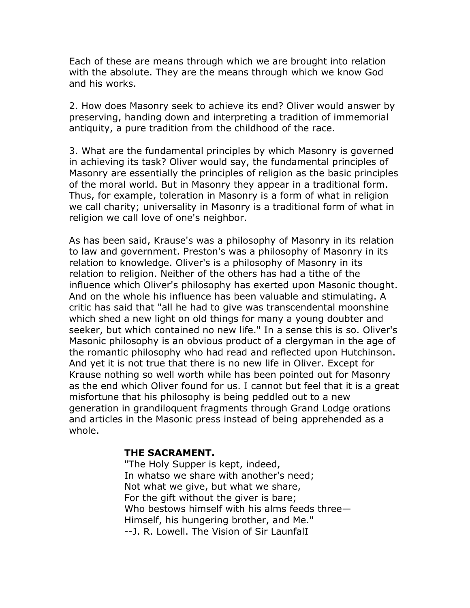Each of these are means through which we are brought into relation with the absolute. They are the means through which we know God and his works.

2. How does Masonry seek to achieve its end? Oliver would answer by preserving, handing down and interpreting a tradition of immemorial antiquity, a pure tradition from the childhood of the race.

3. What are the fundamental principles by which Masonry is governed in achieving its task? Oliver would say, the fundamental principles of Masonry are essentially the principles of religion as the basic principles of the moral world. But in Masonry they appear in a traditional form. Thus, for example, toleration in Masonry is a form of what in religion we call charity; universality in Masonry is a traditional form of what in religion we call love of one's neighbor.

As has been said, Krause's was a philosophy of Masonry in its relation to law and government. Preston's was a philosophy of Masonry in its relation to knowledge. Oliver's is a philosophy of Masonry in its relation to religion. Neither of the others has had a tithe of the influence which Oliver's philosophy has exerted upon Masonic thought. And on the whole his influence has been valuable and stimulating. A critic has said that "all he had to give was transcendental moonshine which shed a new light on old things for many a young doubter and seeker, but which contained no new life." In a sense this is so. Oliver's Masonic philosophy is an obvious product of a clergyman in the age of the romantic philosophy who had read and reflected upon Hutchinson. And yet it is not true that there is no new life in Oliver. Except for Krause nothing so well worth while has been pointed out for Masonry as the end which Oliver found for us. I cannot but feel that it is a great misfortune that his philosophy is being peddled out to a new generation in grandiloquent fragments through Grand Lodge orations and articles in the Masonic press instead of being apprehended as a whole.

## **THE SACRAMENT.**

"The Holy Supper is kept, indeed, In whatso we share with another's need; Not what we give, but what we share, For the gift without the giver is bare; Who bestows himself with his alms feeds three— Himself, his hungering brother, and Me." --J. R. Lowell. The Vision of Sir LaunfalI